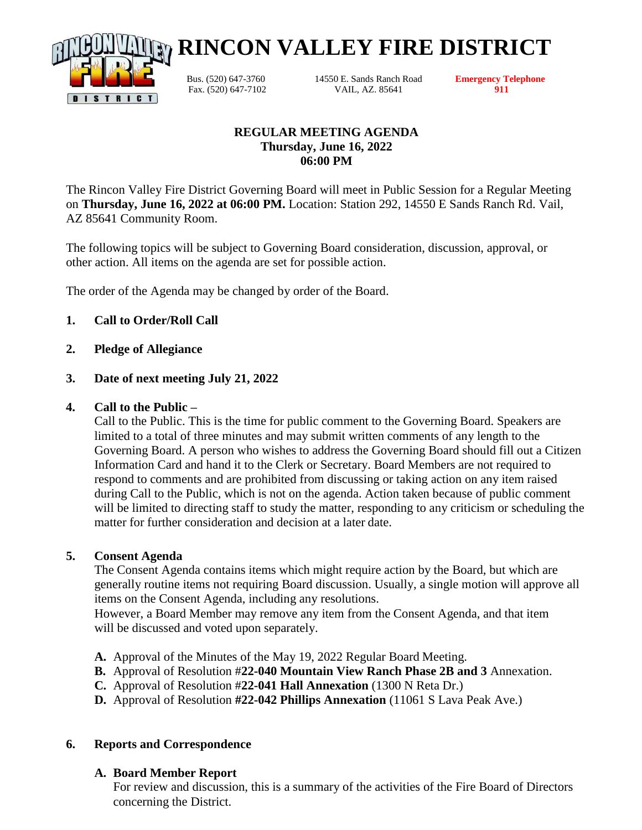

Bus. (520) 647-3760 14550 E. Sands Ranch Road **Emergency Telephone** Fax. (520) 647-7102 VAIL, AZ. 85641 **911**

**RINCON VALLEY FIRE DISTRICT**

## **REGULAR MEETING AGENDA Thursday, June 16, 2022 06:00 PM**

The Rincon Valley Fire District Governing Board will meet in Public Session for a Regular Meeting on **Thursday, June 16, 2022 at 06:00 PM.** Location: Station 292, 14550 E Sands Ranch Rd. Vail, AZ 85641 Community Room.

The following topics will be subject to Governing Board consideration, discussion, approval, or other action. All items on the agenda are set for possible action.

The order of the Agenda may be changed by order of the Board.

# **1. Call to Order/Roll Call**

**2. Pledge of Allegiance**

#### **3. Date of next meeting July 21, 2022**

#### **4. Call to the Public –**

Call to the Public. This is the time for public comment to the Governing Board. Speakers are limited to a total of three minutes and may submit written comments of any length to the Governing Board. A person who wishes to address the Governing Board should fill out a Citizen Information Card and hand it to the Clerk or Secretary. Board Members are not required to respond to comments and are prohibited from discussing or taking action on any item raised during Call to the Public, which is not on the agenda. Action taken because of public comment will be limited to directing staff to study the matter, responding to any criticism or scheduling the matter for further consideration and decision at a later date.

#### **5. Consent Agenda**

The Consent Agenda contains items which might require action by the Board, but which are generally routine items not requiring Board discussion. Usually, a single motion will approve all items on the Consent Agenda, including any resolutions.

However, a Board Member may remove any item from the Consent Agenda, and that item will be discussed and voted upon separately.

- **A.** Approval of the Minutes of the May 19, 2022 Regular Board Meeting.
- **B.** Approval of Resolution #**22-040 Mountain View Ranch Phase 2B and 3** Annexation.
- **C.** Approval of Resolution #**22-041 Hall Annexation** (1300 N Reta Dr.)
- **D.** Approval of Resolution **#22-042 Phillips Annexation** (11061 S Lava Peak Ave.)

#### **6. Reports and Correspondence**

## **A. Board Member Report**

For review and discussion, this is a summary of the activities of the Fire Board of Directors concerning the District.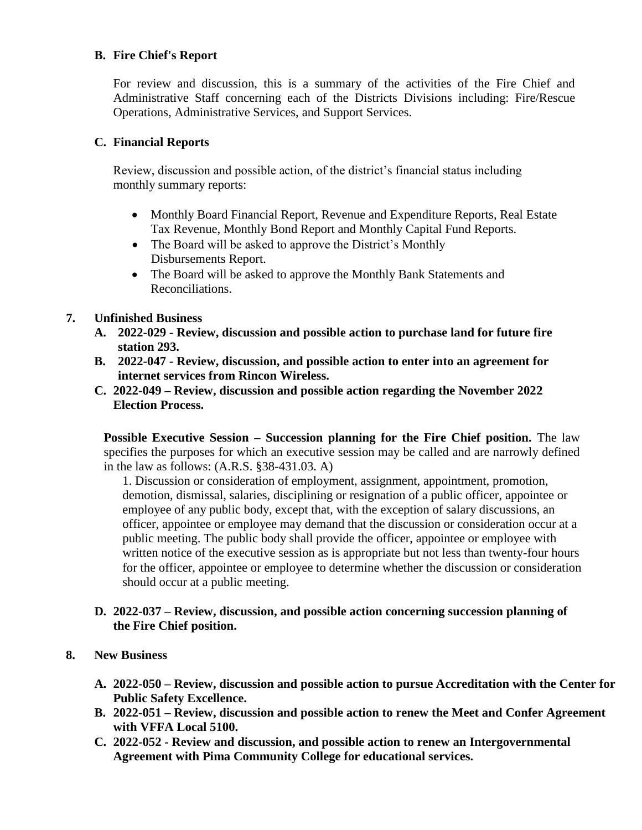## **B. Fire Chief's Report**

For review and discussion, this is a summary of the activities of the Fire Chief and Administrative Staff concerning each of the Districts Divisions including: Fire/Rescue Operations, Administrative Services, and Support Services.

## **C. Financial Reports**

Review, discussion and possible action, of the district's financial status including monthly summary reports:

- Monthly Board Financial Report, Revenue and Expenditure Reports, Real Estate Tax Revenue, Monthly Bond Report and Monthly Capital Fund Reports.
- The Board will be asked to approve the District's Monthly Disbursements Report.
- The Board will be asked to approve the Monthly Bank Statements and Reconciliations.

# **7. Unfinished Business**

- **A. 2022-029 - Review, discussion and possible action to purchase land for future fire station 293.**
- **B. 2022-047 - Review, discussion, and possible action to enter into an agreement for internet services from Rincon Wireless.**
- **C. 2022-049 – Review, discussion and possible action regarding the November 2022 Election Process.**

**Possible Executive Session – Succession planning for the Fire Chief position.** The law specifies the purposes for which an executive session may be called and are narrowly defined in the law as follows: (A.R.S. §38-431.03. A)

1. Discussion or consideration of employment, assignment, appointment, promotion, demotion, dismissal, salaries, disciplining or resignation of a public officer, appointee or employee of any public body, except that, with the exception of salary discussions, an officer, appointee or employee may demand that the discussion or consideration occur at a public meeting. The public body shall provide the officer, appointee or employee with written notice of the executive session as is appropriate but not less than twenty-four hours for the officer, appointee or employee to determine whether the discussion or consideration should occur at a public meeting.

## **D. 2022-037 – Review, discussion, and possible action concerning succession planning of the Fire Chief position.**

## **8. New Business**

- **A. 2022-050 – Review, discussion and possible action to pursue Accreditation with the Center for Public Safety Excellence.**
- **B. 2022-051 – Review, discussion and possible action to renew the Meet and Confer Agreement with VFFA Local 5100.**
- **C. 2022-052 - Review and discussion, and possible action to renew an Intergovernmental Agreement with Pima Community College for educational services.**